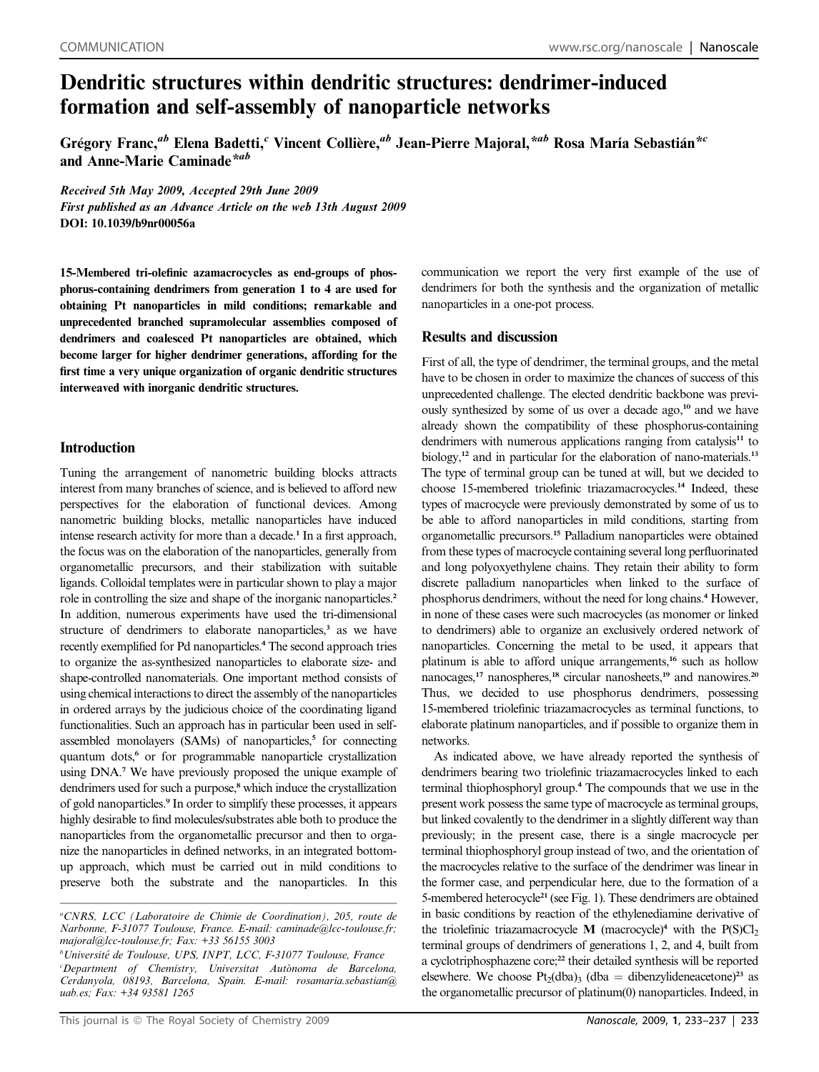# Dendritic structures within dendritic structures: dendrimer-induced formation and self-assembly of nanoparticle networks

Grégory Franc,<sup>ab</sup> Elena Badetti,<sup>c</sup> Vincent Collière,<sup>ab</sup> Jean-Pierre Majoral,\*<sup>ab</sup> Rosa María Sebastián\*<sup>c</sup> and Anne-Marie Caminade\*ab

Received 5th May 2009, Accepted 29th June 2009 First published as an Advance Article on the web 13th August 2009 DOI: 10.1039/b9nr00056a

15-Membered tri-olefinic azamacrocycles as end-groups of phosphorus-containing dendrimers from generation 1 to 4 are used for obtaining Pt nanoparticles in mild conditions; remarkable and unprecedented branched supramolecular assemblies composed of dendrimers and coalesced Pt nanoparticles are obtained, which become larger for higher dendrimer generations, affording for the first time a very unique organization of organic dendritic structures interweaved with inorganic dendritic structures.

## Introduction

Tuning the arrangement of nanometric building blocks attracts interest from many branches of science, and is believed to afford new perspectives for the elaboration of functional devices. Among nanometric building blocks, metallic nanoparticles have induced intense research activity for more than a decade.<sup>1</sup> In a first approach, the focus was on the elaboration of the nanoparticles, generally from organometallic precursors, and their stabilization with suitable ligands. Colloidal templates were in particular shown to play a major role in controlling the size and shape of the inorganic nanoparticles.<sup>2</sup> In addition, numerous experiments have used the tri-dimensional structure of dendrimers to elaborate nanoparticles,<sup>3</sup> as we have recently exemplified for Pd nanoparticles.<sup>4</sup> The second approach tries to organize the as-synthesized nanoparticles to elaborate size- and shape-controlled nanomaterials. One important method consists of using chemical interactions to direct the assembly of the nanoparticles in ordered arrays by the judicious choice of the coordinating ligand functionalities. Such an approach has in particular been used in selfassembled monolayers (SAMs) of nanoparticles,<sup>5</sup> for connecting quantum dots,<sup>6</sup> or for programmable nanoparticle crystallization using DNA.<sup>7</sup> We have previously proposed the unique example of dendrimers used for such a purpose,<sup>8</sup> which induce the crystallization of gold nanoparticles.<sup>9</sup> In order to simplify these processes, it appears highly desirable to find molecules/substrates able both to produce the nanoparticles from the organometallic precursor and then to organize the nanoparticles in defined networks, in an integrated bottomup approach, which must be carried out in mild conditions to preserve both the substrate and the nanoparticles. In this communication we report the very first example of the use of dendrimers for both the synthesis and the organization of metallic nanoparticles in a one-pot process.

# Results and discussion

First of all, the type of dendrimer, the terminal groups, and the metal have to be chosen in order to maximize the chances of success of this unprecedented challenge. The elected dendritic backbone was previously synthesized by some of us over a decade ago,<sup>10</sup> and we have already shown the compatibility of these phosphorus-containing dendrimers with numerous applications ranging from catalysis<sup>11</sup> to biology,<sup>12</sup> and in particular for the elaboration of nano-materials.<sup>13</sup> The type of terminal group can be tuned at will, but we decided to choose 15-membered triolefinic triazamacrocycles.<sup>14</sup> Indeed, these types of macrocycle were previously demonstrated by some of us to be able to afford nanoparticles in mild conditions, starting from organometallic precursors.<sup>15</sup> Palladium nanoparticles were obtained from these types of macrocycle containing several long perfluorinated and long polyoxyethylene chains. They retain their ability to form discrete palladium nanoparticles when linked to the surface of phosphorus dendrimers, without the need for long chains.<sup>4</sup> However, in none of these cases were such macrocycles (as monomer or linked to dendrimers) able to organize an exclusively ordered network of nanoparticles. Concerning the metal to be used, it appears that platinum is able to afford unique arrangements,<sup>16</sup> such as hollow nanocages,<sup>17</sup> nanospheres,<sup>18</sup> circular nanosheets,<sup>19</sup> and nanowires.<sup>20</sup> Thus, we decided to use phosphorus dendrimers, possessing 15-membered triolefinic triazamacrocycles as terminal functions, to elaborate platinum nanoparticles, and if possible to organize them in networks.

As indicated above, we have already reported the synthesis of dendrimers bearing two triolefinic triazamacrocycles linked to each terminal thiophosphoryl group.<sup>4</sup> The compounds that we use in the present work possess the same type of macrocycle as terminal groups, but linked covalently to the dendrimer in a slightly different way than previously; in the present case, there is a single macrocycle per terminal thiophosphoryl group instead of two, and the orientation of the macrocycles relative to the surface of the dendrimer was linear in the former case, and perpendicular here, due to the formation of a 5-membered heterocycle<sup>21</sup> (see Fig. 1). These dendrimers are obtained in basic conditions by reaction of the ethylenediamine derivative of the triolefinic triazamacrocycle  $M$  (macrocycle)<sup>4</sup> with the  $P(S)Cl<sub>2</sub>$ terminal groups of dendrimers of generations 1, 2, and 4, built from a cyclotriphosphazene core;<sup>22</sup> their detailed synthesis will be reported elsewhere. We choose  $Pt_2(dba)$ <sub>3</sub> (dba = dibenzylideneacetone)<sup>23</sup> as the organometallic precursor of platinum(0) nanoparticles. Indeed, in

a CNRS, LCC (Laboratoire de Chimie de Coordination), 205, route de Narbonne, F-31077 Toulouse, France. E-mail: caminade@lcc-toulouse.fr; majoral@lcc-toulouse.fr; Fax: +33 56155 3003

<sup>&</sup>lt;sup>b</sup>Université de Toulouse, UPS, INPT, LCC, F-31077 Toulouse, France <sup>c</sup>Department of Chemistry, Universitat Autònoma de Barcelona, Cerdanyola, 08193, Barcelona, Spain. E-mail: rosamaria.sebastian@ uab.es; Fax: +34 93581 1265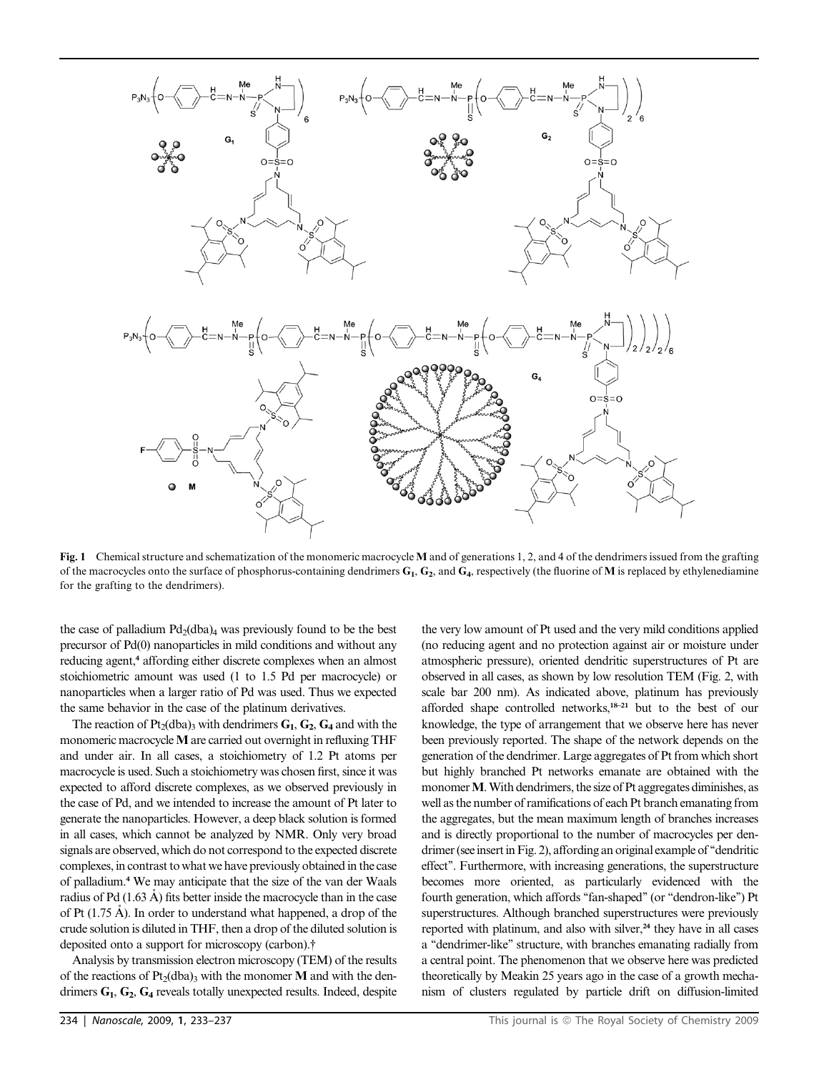

Fig. 1 Chemical structure and schematization of the monomeric macrocycle M and of generations 1, 2, and 4 of the dendrimers issued from the grafting of the macrocycles onto the surface of phosphorus-containing dendrimers  $G_1$ ,  $G_2$ , and  $G_4$ , respectively (the fluorine of M is replaced by ethylenediamine for the grafting to the dendrimers).

the case of palladium  $Pd_2(dba)_4$  was previously found to be the best precursor of Pd(0) nanoparticles in mild conditions and without any reducing agent,<sup>4</sup> affording either discrete complexes when an almost stoichiometric amount was used (1 to 1.5 Pd per macrocycle) or nanoparticles when a larger ratio of Pd was used. Thus we expected the same behavior in the case of the platinum derivatives.

The reaction of Pt<sub>2</sub>(dba)<sub>3</sub> with dendrimers  $G_1$ ,  $G_2$ ,  $G_4$  and with the monomeric macrocycle M are carried out overnight in refluxing THF and under air. In all cases, a stoichiometry of 1.2 Pt atoms per macrocycle is used. Such a stoichiometry was chosen first, since it was expected to afford discrete complexes, as we observed previously in the case of Pd, and we intended to increase the amount of Pt later to generate the nanoparticles. However, a deep black solution is formed in all cases, which cannot be analyzed by NMR. Only very broad signals are observed, which do not correspond to the expected discrete complexes, in contrast to what we have previously obtained in the case of palladium.<sup>4</sup> We may anticipate that the size of the van der Waals radius of Pd  $(1.63 \text{ Å})$  fits better inside the macrocycle than in the case of Pt  $(1.75 \text{ Å})$ . In order to understand what happened, a drop of the crude solution is diluted in THF, then a drop of the diluted solution is deposited onto a support for microscopy (carbon).†

Analysis by transmission electron microscopy (TEM) of the results of the reactions of  $Pt_2(dba)$ <sub>3</sub> with the monomer M and with the dendrimers  $G_1$ ,  $G_2$ ,  $G_4$  reveals totally unexpected results. Indeed, despite

the very low amount of Pt used and the very mild conditions applied (no reducing agent and no protection against air or moisture under atmospheric pressure), oriented dendritic superstructures of Pt are observed in all cases, as shown by low resolution TEM (Fig. 2, with scale bar 200 nm). As indicated above, platinum has previously afforded shape controlled networks,18–21 but to the best of our knowledge, the type of arrangement that we observe here has never been previously reported. The shape of the network depends on the generation of the dendrimer. Large aggregates of Pt from which short but highly branched Pt networks emanate are obtained with the monomer M. With dendrimers, the size of Pt aggregates diminishes, as well as the number of ramifications of each Pt branch emanating from the aggregates, but the mean maximum length of branches increases and is directly proportional to the number of macrocycles per dendrimer (see insert in Fig. 2), affording an original example of ''dendritic effect''. Furthermore, with increasing generations, the superstructure becomes more oriented, as particularly evidenced with the fourth generation, which affords "fan-shaped" (or "dendron-like") Pt superstructures. Although branched superstructures were previously reported with platinum, and also with silver, $24$  they have in all cases a ''dendrimer-like'' structure, with branches emanating radially from a central point. The phenomenon that we observe here was predicted theoretically by Meakin 25 years ago in the case of a growth mechanism of clusters regulated by particle drift on diffusion-limited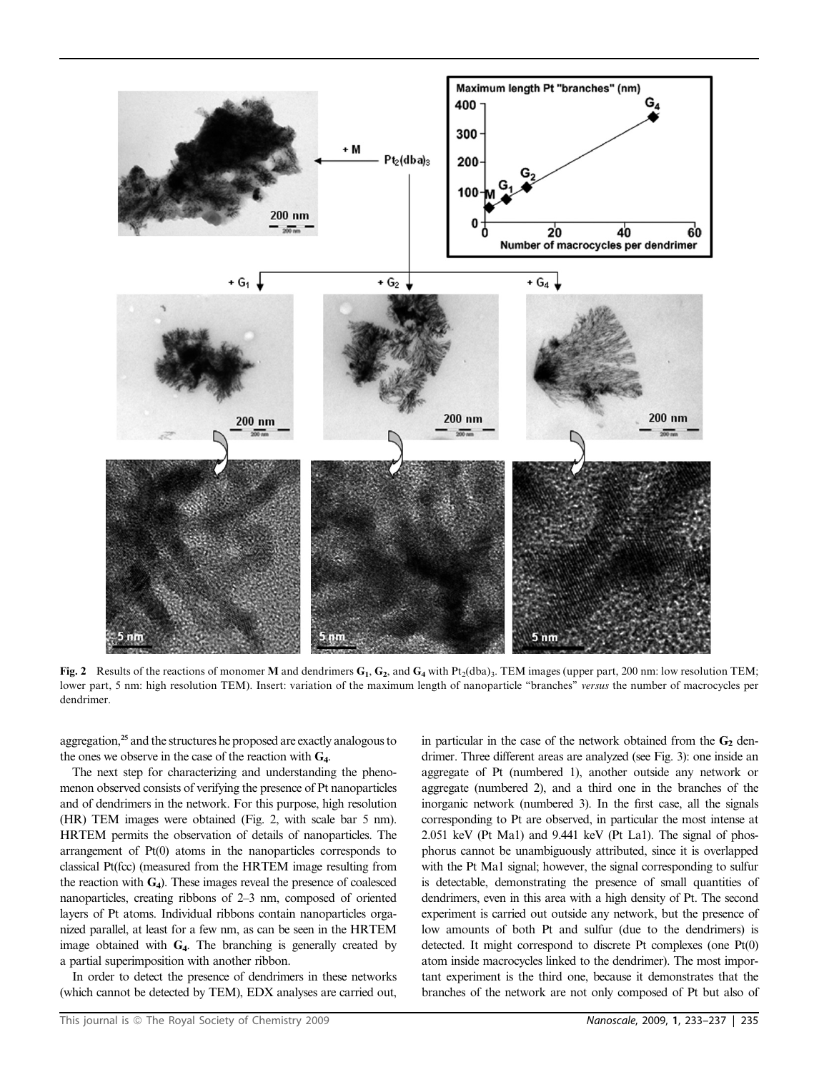

Fig. 2 Results of the reactions of monomer M and dendrimers  $G_1, G_2$ , and  $G_4$  with Pt<sub>2</sub>(dba)<sub>3</sub>. TEM images (upper part, 200 nm: low resolution TEM; lower part, 5 nm: high resolution TEM). Insert: variation of the maximum length of nanoparticle "branches" versus the number of macrocycles per dendrimer.

aggregation,<sup>25</sup> and the structures he proposed are exactly analogous to the ones we observe in the case of the reaction with  $G_4$ .

The next step for characterizing and understanding the phenomenon observed consists of verifying the presence of Pt nanoparticles and of dendrimers in the network. For this purpose, high resolution (HR) TEM images were obtained (Fig. 2, with scale bar 5 nm). HRTEM permits the observation of details of nanoparticles. The arrangement of Pt(0) atoms in the nanoparticles corresponds to classical Pt(fcc) (measured from the HRTEM image resulting from the reaction with  $G_4$ ). These images reveal the presence of coalesced nanoparticles, creating ribbons of 2–3 nm, composed of oriented layers of Pt atoms. Individual ribbons contain nanoparticles organized parallel, at least for a few nm, as can be seen in the HRTEM image obtained with  $G_4$ . The branching is generally created by a partial superimposition with another ribbon.

In order to detect the presence of dendrimers in these networks (which cannot be detected by TEM), EDX analyses are carried out,

in particular in the case of the network obtained from the  $G_2$  dendrimer. Three different areas are analyzed (see Fig. 3): one inside an aggregate of Pt (numbered 1), another outside any network or aggregate (numbered 2), and a third one in the branches of the inorganic network (numbered 3). In the first case, all the signals corresponding to Pt are observed, in particular the most intense at 2.051 keV (Pt Ma1) and 9.441 keV (Pt La1). The signal of phosphorus cannot be unambiguously attributed, since it is overlapped with the Pt Ma1 signal; however, the signal corresponding to sulfur is detectable, demonstrating the presence of small quantities of dendrimers, even in this area with a high density of Pt. The second experiment is carried out outside any network, but the presence of low amounts of both Pt and sulfur (due to the dendrimers) is detected. It might correspond to discrete Pt complexes (one Pt(0) atom inside macrocycles linked to the dendrimer). The most important experiment is the third one, because it demonstrates that the branches of the network are not only composed of Pt but also of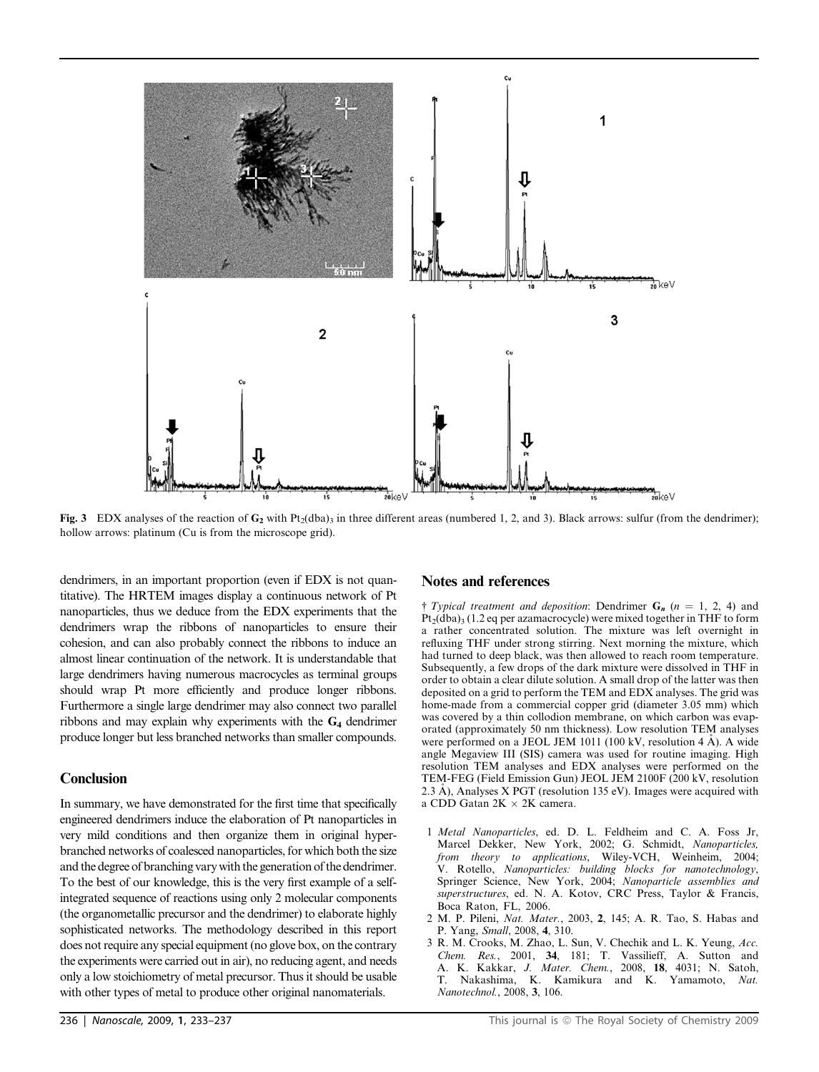

Fig. 3 EDX analyses of the reaction of G<sub>2</sub> with Pt<sub>2</sub>(dba)<sub>3</sub> in three different areas (numbered 1, 2, and 3). Black arrows: sulfur (from the dendrimer); hollow arrows: platinum (Cu is from the microscope grid).

dendrimers, in an important proportion (even if EDX is not quantitative). The HRTEM images display a continuous network of Pt nanoparticles, thus we deduce from the EDX experiments that the dendrimers wrap the ribbons of nanoparticles to ensure their cohesion, and can also probably connect the ribbons to induce an almost linear continuation of the network. It is understandable that large dendrimers having numerous macrocycles as terminal groups should wrap Pt more efficiently and produce longer ribbons. Furthermore a single large dendrimer may also connect two parallel ribbons and may explain why experiments with the  $G_4$  dendrimer produce longer but less branched networks than smaller compounds.

### **Conclusion**

In summary, we have demonstrated for the first time that specifically engineered dendrimers induce the elaboration of Pt nanoparticles in very mild conditions and then organize them in original hyperbranched networks of coalesced nanoparticles, for which both the size and the degree of branching vary with the generation of the dendrimer. To the best of our knowledge, this is the very first example of a selfintegrated sequence of reactions using only 2 molecular components (the organometallic precursor and the dendrimer) to elaborate highly sophisticated networks. The methodology described in this report does not require any special equipment (no glove box, on the contrary the experiments were carried out in air), no reducing agent, and needs only a low stoichiometry of metal precursor. Thus it should be usable with other types of metal to produce other original nanomaterials.

#### Notes and references

† Typical treatment and deposition: Dendrimer  $G_n$  (n = 1, 2, 4) and  $Pt<sub>2</sub>(dba)<sub>3</sub>$  (1.2 eq per azamacrocycle) were mixed together in THF to form a rather concentrated solution. The mixture was left overnight in refluxing THF under strong stirring. Next morning the mixture, which had turned to deep black, was then allowed to reach room temperature. Subsequently, a few drops of the dark mixture were dissolved in THF in order to obtain a clear dilute solution. A small drop of the latter was then deposited on a grid to perform the TEM and EDX analyses. The grid was home-made from a commercial copper grid (diameter 3.05 mm) which was covered by a thin collodion membrane, on which carbon was evaporated (approximately 50 nm thickness). Low resolution TEM analyses were performed on a JEOL JEM 1011 (100 kV, resolution  $4 \text{ Å}$ ). A wide angle Megaview III (SIS) camera was used for routine imaging. High resolution TEM analyses and EDX analyses were performed on the TEM-FEG (Field Emission Gun) JEOL JEM 2100F (200 kV, resolution 2.3  $\AA$ ), Analyses X PGT (resolution 135 eV). Images were acquired with a CDD Gatan  $2K \times 2K$  camera.

- 1 Metal Nanoparticles, ed. D. L. Feldheim and C. A. Foss Jr, Marcel Dekker, New York, 2002; G. Schmidt, Nanoparticles, from theory to applications, Wiley-VCH, Weinheim, 2004; V. Rotello, Nanoparticles: building blocks for nanotechnology, Springer Science, New York, 2004; Nanoparticle assemblies and superstructures, ed. N. A. Kotov, CRC Press, Taylor & Francis, Boca Raton, FL, 2006.
- 2 M. P. Pileni, Nat. Mater., 2003, 2, 145; A. R. Tao, S. Habas and P. Yang, Small, 2008, 4, 310.
- 3 R. M. Crooks, M. Zhao, L. Sun, V. Chechik and L. K. Yeung, Acc. Chem. Res., 2001, 34, 181; T. Vassilieff, A. Sutton and A. K. Kakkar, *J. Mater. Chem.*, 2008, 18, 4031; N. Satoh, T. Nakashima, K. Kamikura and K. Yamamoto, Nat. Nanotechnol., 2008, 3, 106.